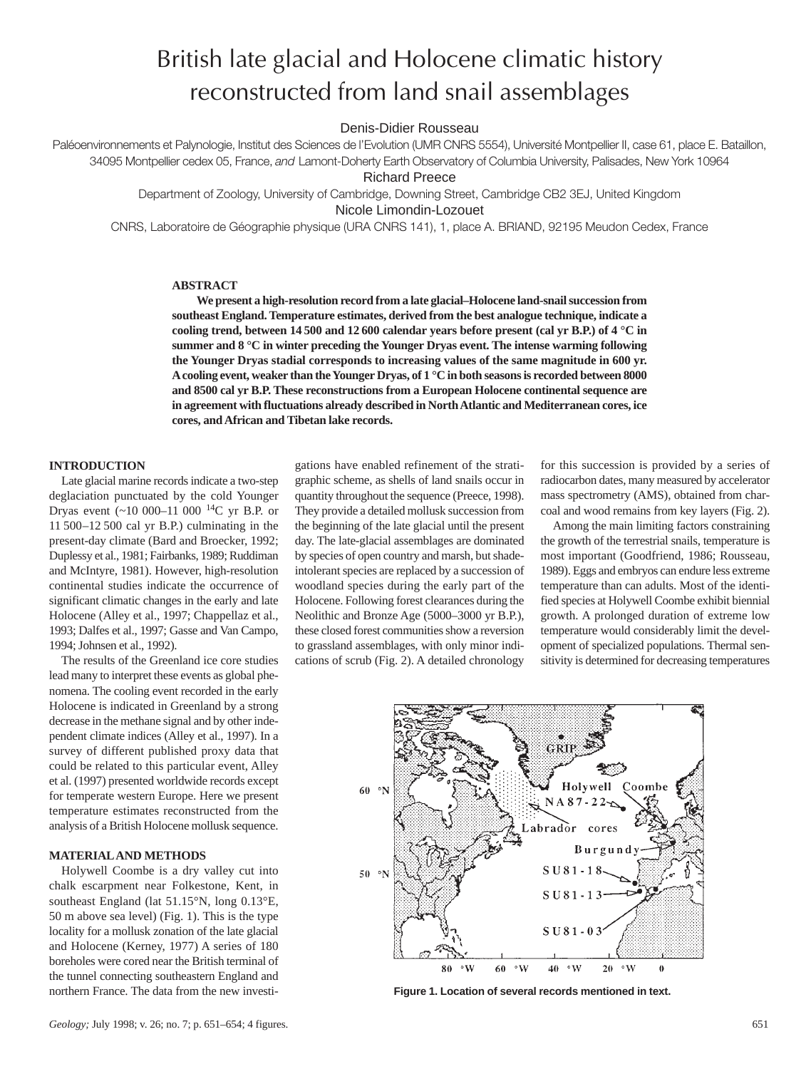# British late glacial and Holocene climatic history reconstructed from land snail assemblages

Denis-Didier Rousseau

Paléoenvironnements et Palynologie, Institut des Sciences de l'Evolution (UMR CNRS 5554), Université Montpellier II, case 61, place E. Bataillon, 34095 Montpellier cedex 05, France, *and* Lamont-Doherty Earth Observatory of Columbia University, Palisades, New York 10964

Richard Preece

Department of Zoology, University of Cambridge, Downing Street, Cambridge CB2 3EJ, United Kingdom Nicole Limondin-Lozouet

CNRS, Laboratoire de Géographie physique (URA CNRS 141), 1, place A. BRIAND, 92195 Meudon Cedex, France

### **ABSTRACT**

**We present a high-resolution record from a late glacial–Holocene land-snail succession from southeast England. Temperature estimates, derived from the best analogue technique, indicate a cooling trend, between 14 500 and 12 600 calendar years before present (cal yr B.P.) of 4 °C in summer and 8 °C in winter preceding the Younger Dryas event. The intense warming following the Younger Dryas stadial corresponds to increasing values of the same magnitude in 600 yr. Acooling event, weaker than the Younger Dryas, of 1 °C in both seasons is recorded between 8000 and 8500 cal yr B.P. These reconstructions from a European Holocene continental sequence are in agreement with fluctuations already described in North Atlantic and Mediterranean cores, ice cores, and African and Tibetan lake records.**

gations have enabled refinement of the strati-

## **INTRODUCTION**

Late glacial marine records indicate a two-step deglaciation punctuated by the cold Younger Dryas event  $({\sim}10\ 000{-}11\ 000\ {}^{14}C$  yr B.P. or 11 500–12 500 cal yr B.P.) culminating in the present-day climate (Bard and Broecker, 1992; Duplessy et al., 1981; Fairbanks, 1989; Ruddiman and McIntyre, 1981). However, high-resolution continental studies indicate the occurrence of significant climatic changes in the early and late Holocene (Alley et al., 1997; Chappellaz et al., 1993; Dalfes et al., 1997; Gasse and Van Campo, 1994; Johnsen et al., 1992).

The results of the Greenland ice core studies lead many to interpret these events as global phenomena. The cooling event recorded in the early Holocene is indicated in Greenland by a strong decrease in the methane signal and by other independent climate indices (Alley et al., 1997). In a survey of different published proxy data that could be related to this particular event, Alley et al. (1997) presented worldwide records except for temperate western Europe. Here we present temperature estimates reconstructed from the analysis of a British Holocene mollusk sequence.

## **MATERIALAND METHODS**

Holywell Coombe is a dry valley cut into chalk escarpment near Folkestone, Kent, in southeast England (lat 51.15°N, long 0.13°E, 50 m above sea level) (Fig. 1). This is the type locality for a mollusk zonation of the late glacial and Holocene (Kerney, 1977) A series of 180 boreholes were cored near the British terminal of the tunnel connecting southeastern England and northern France. The data from the new investigraphic scheme, as shells of land snails occur in quantity throughout the sequence (Preece, 1998). They provide a detailed mollusk succession from the beginning of the late glacial until the present day. The late-glacial assemblages are dominated by species of open country and marsh, but shadeintolerant species are replaced by a succession of woodland species during the early part of the Holocene. Following forest clearances during the Neolithic and Bronze Age (5000–3000 yr B.P.), these closed forest communities show a reversion to grassland assemblages, with only minor indications of scrub (Fig. 2). A detailed chronology

for this succession is provided by a series of radiocarbon dates, many measured by accelerator mass spectrometry (AMS), obtained from charcoal and wood remains from key layers (Fig. 2).

Among the main limiting factors constraining the growth of the terrestrial snails, temperature is most important (Goodfriend, 1986; Rousseau, 1989). Eggs and embryos can endure less extreme temperature than can adults. Most of the identified species at Holywell Coombe exhibit biennial growth. A prolonged duration of extreme low temperature would considerably limit the development of specialized populations. Thermal sensitivity is determined for decreasing temperatures



**Figure 1. Location of several records mentioned in text.**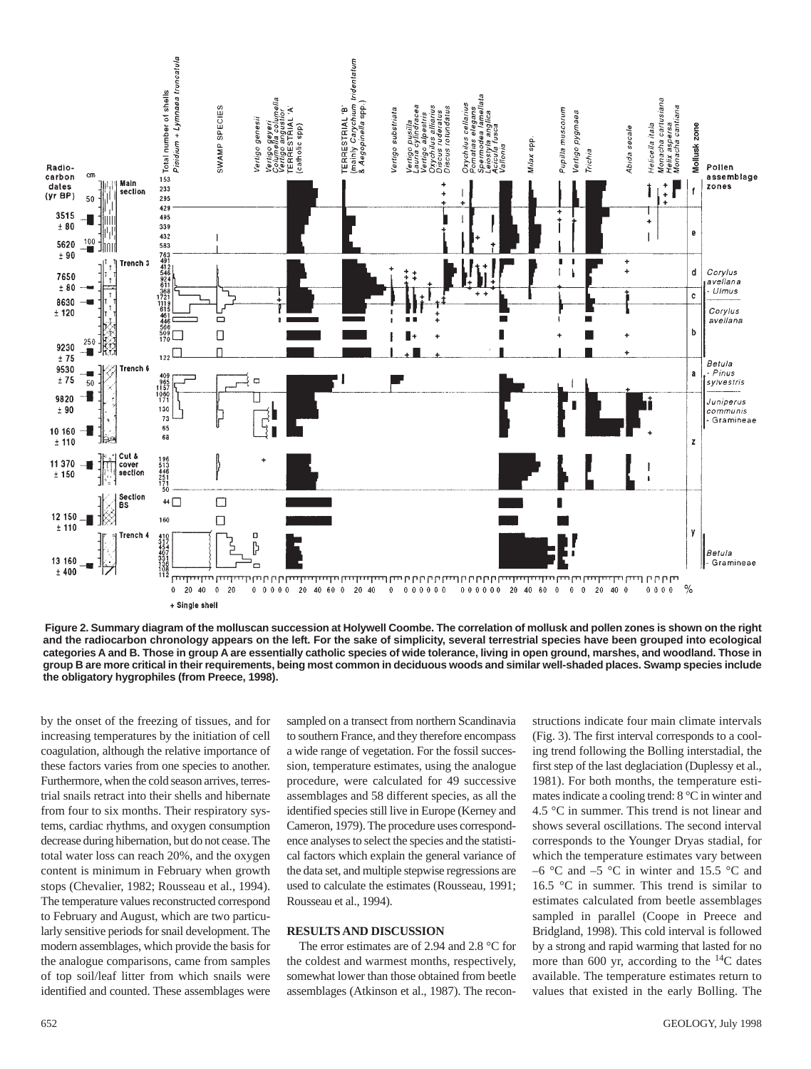

**Figure 2. Summary diagram of the molluscan succession at Holywell Coombe. The correlation of mollusk and pollen zones is shown on the right and the radiocarbon chronology appears on the left. For the sake of simplicity, several terrestrial species have been grouped into ecological categories A and B. Those in group A are essentially catholic species of wide tolerance, living in open ground, marshes, and woodland. Those in group B are more critical in their requirements, being most common in deciduous woods and similar well-shaded places. Swamp species include the obligatory hygrophiles (from Preece, 1998).**

by the onset of the freezing of tissues, and for increasing temperatures by the initiation of cell coagulation, although the relative importance of these factors varies from one species to another. Furthermore, when the cold season arrives, terrestrial snails retract into their shells and hibernate from four to six months. Their respiratory systems, cardiac rhythms, and oxygen consumption decrease during hibernation, but do not cease. The total water loss can reach 20%, and the oxygen content is minimum in February when growth stops (Chevalier, 1982; Rousseau et al., 1994). The temperature values reconstructed correspond to February and August, which are two particularly sensitive periods for snail development. The modern assemblages, which provide the basis for the analogue comparisons, came from samples of top soil/leaf litter from which snails were identified and counted. These assemblages were sampled on a transect from northern Scandinavia to southern France, and they therefore encompass a wide range of vegetation. For the fossil succession, temperature estimates, using the analogue procedure, were calculated for 49 successive assemblages and 58 different species, as all the identified species still live in Europe (Kerney and Cameron, 1979). The procedure uses correspondence analyses to select the species and the statistical factors which explain the general variance of the data set, and multiple stepwise regressions are used to calculate the estimates (Rousseau, 1991; Rousseau et al., 1994).

## **RESULTS AND DISCUSSION**

The error estimates are of 2.94 and 2.8 °C for the coldest and warmest months, respectively, somewhat lower than those obtained from beetle assemblages (Atkinson et al., 1987). The recon-

structions indicate four main climate intervals (Fig. 3). The first interval corresponds to a cooling trend following the Bolling interstadial, the first step of the last deglaciation (Duplessy et al., 1981). For both months, the temperature estimates indicate a cooling trend: 8 °C in winter and 4.5 °C in summer. This trend is not linear and shows several oscillations. The second interval corresponds to the Younger Dryas stadial, for which the temperature estimates vary between –6  $\degree$ C and –5  $\degree$ C in winter and 15.5  $\degree$ C and 16.5 °C in summer. This trend is similar to estimates calculated from beetle assemblages sampled in parallel (Coope in Preece and Bridgland, 1998). This cold interval is followed by a strong and rapid warming that lasted for no more than 600 yr, according to the  $^{14}C$  dates available. The temperature estimates return to values that existed in the early Bolling. The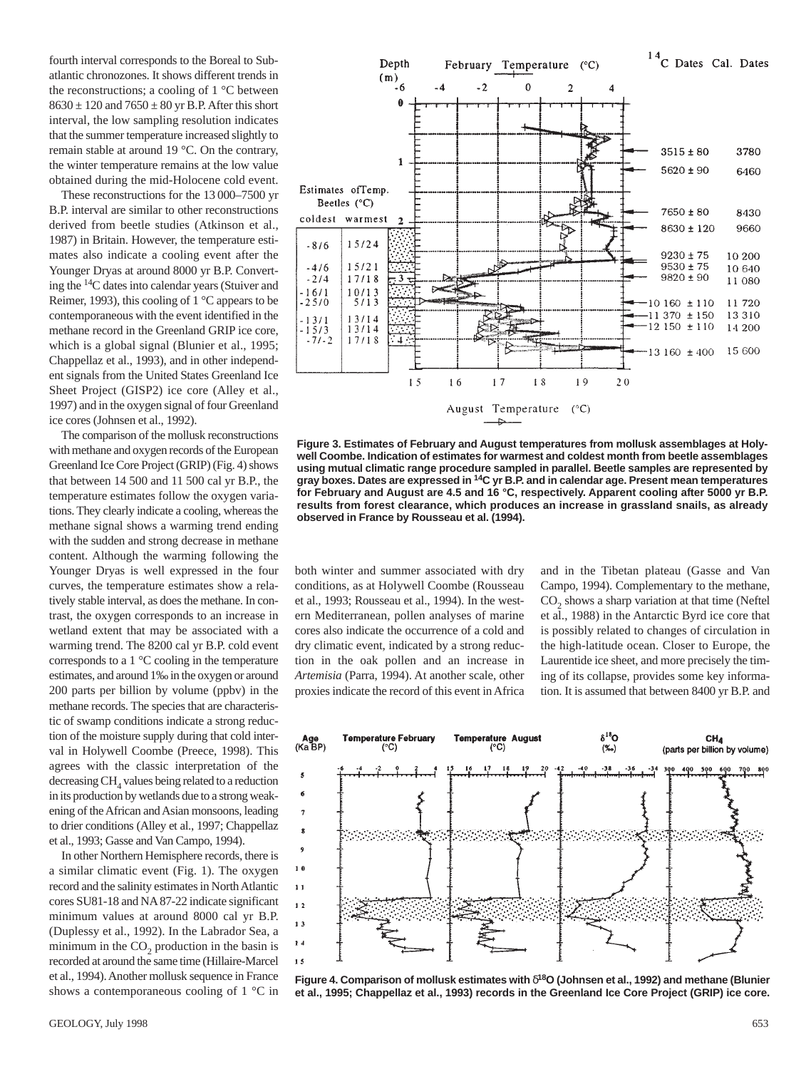fourth interval corresponds to the Boreal to Subatlantic chronozones. It shows different trends in the reconstructions; a cooling of 1 °C between  $8630 \pm 120$  and  $7650 \pm 80$  yr B.P. After this short interval, the low sampling resolution indicates that the summer temperature increased slightly to remain stable at around 19 °C. On the contrary, the winter temperature remains at the low value obtained during the mid-Holocene cold event.

These reconstructions for the 13 000–7500 yr B.P. interval are similar to other reconstructions derived from beetle studies (Atkinson et al., 1987) in Britain. However, the temperature estimates also indicate a cooling event after the Younger Dryas at around 8000 yr B.P. Converting the 14C dates into calendar years (Stuiver and Reimer, 1993), this cooling of 1 °C appears to be contemporaneous with the event identified in the methane record in the Greenland GRIP ice core, which is a global signal (Blunier et al., 1995; Chappellaz et al., 1993), and in other independent signals from the United States Greenland Ice Sheet Project (GISP2) ice core (Alley et al., 1997) and in the oxygen signal of four Greenland ice cores (Johnsen et al., 1992).

The comparison of the mollusk reconstructions with methane and oxygen records of the European Greenland Ice Core Project (GRIP) (Fig. 4) shows that between 14 500 and 11 500 cal yr B.P., the temperature estimates follow the oxygen variations. They clearly indicate a cooling, whereas the methane signal shows a warming trend ending with the sudden and strong decrease in methane content. Although the warming following the Younger Dryas is well expressed in the four curves, the temperature estimates show a relatively stable interval, as does the methane. In contrast, the oxygen corresponds to an increase in wetland extent that may be associated with a warming trend. The 8200 cal yr B.P. cold event corresponds to a 1 °C cooling in the temperature estimates, and around 1‰ in the oxygen or around 200 parts per billion by volume (ppbv) in the methane records. The species that are characteristic of swamp conditions indicate a strong reduction of the moisture supply during that cold interval in Holywell Coombe (Preece, 1998). This agrees with the classic interpretation of the decreasing CH<sub>4</sub> values being related to a reduction in its production by wetlands due to a strong weakening of the African and Asian monsoons, leading to drier conditions (Alley et al., 1997; Chappellaz et al., 1993; Gasse and Van Campo, 1994).

In other Northern Hemisphere records, there is a similar climatic event (Fig. 1). The oxygen record and the salinity estimates in North Atlantic cores SU81-18 and NA87-22 indicate significant minimum values at around 8000 cal yr B.P. (Duplessy et al., 1992). In the Labrador Sea, a minimum in the  $CO<sub>2</sub>$  production in the basin is recorded at around the same time (Hillaire-Marcel et al., 1994). Another mollusk sequence in France shows a contemporaneous cooling of 1 °C in



**Figure 3. Estimates of February and August temperatures from mollusk assemblages at Holywell Coombe. Indication of estimates for warmest and coldest month from beetle assemblages using mutual climatic range procedure sampled in parallel. Beetle samples are represented by gray boxes. Dates are expressed in 14C yr B.P. and in calendar age. Present mean temperatures for February and August are 4.5 and 16 °C, respectively. Apparent cooling after 5000 yr B.P. results from forest clearance, which produces an increase in grassland snails, as already observed in France by Rousseau et al. (1994).**

both winter and summer associated with dry conditions, as at Holywell Coombe (Rousseau et al., 1993; Rousseau et al., 1994). In the western Mediterranean, pollen analyses of marine cores also indicate the occurrence of a cold and dry climatic event, indicated by a strong reduction in the oak pollen and an increase in *Artemisia* (Parra, 1994). At another scale, other proxies indicate the record of this event in Africa

and in the Tibetan plateau (Gasse and Van Campo, 1994). Complementary to the methane,  $CO<sub>2</sub>$  shows a sharp variation at that time (Neftel et al., 1988) in the Antarctic Byrd ice core that is possibly related to changes of circulation in the high-latitude ocean. Closer to Europe, the Laurentide ice sheet, and more precisely the timing of its collapse, provides some key information. It is assumed that between 8400 yr B.P. and



**Figure 4. Comparison of mollusk estimates with** δ**18O (Johnsen et al., 1992) and methane (Blunier et al., 1995; Chappellaz et al., 1993) records in the Greenland Ice Core Project (GRIP) ice core.**